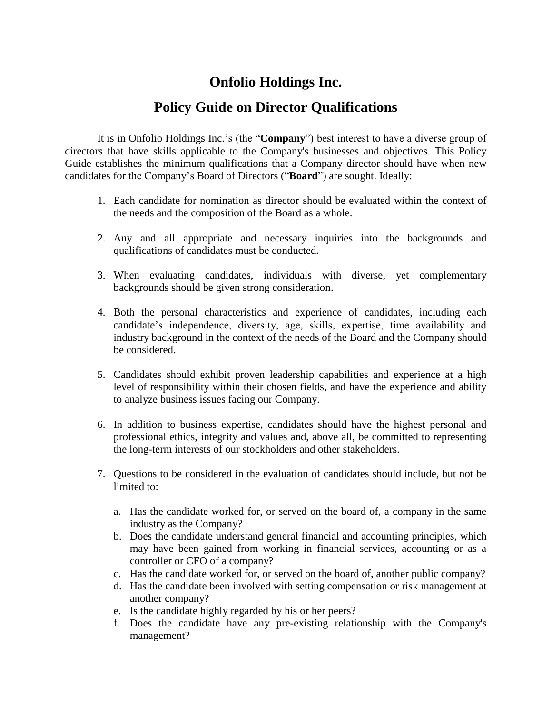## **Onfolio Holdings Inc.**

## **Policy Guide on Director Qualifications**

It is in Onfolio Holdings Inc.'s (the "**Company**") best interest to have a diverse group of directors that have skills applicable to the Company's businesses and objectives. This Policy Guide establishes the minimum qualifications that a Company director should have when new candidates for the Company's Board of Directors ("**Board**") are sought. Ideally:

- 1. Each candidate for nomination as director should be evaluated within the context of the needs and the composition of the Board as a whole.
- 2. Any and all appropriate and necessary inquiries into the backgrounds and qualifications of candidates must be conducted.
- 3. When evaluating candidates, individuals with diverse, yet complementary backgrounds should be given strong consideration.
- 4. Both the personal characteristics and experience of candidates, including each candidate's independence, diversity, age, skills, expertise, time availability and industry background in the context of the needs of the Board and the Company should be considered.
- 5. Candidates should exhibit proven leadership capabilities and experience at a high level of responsibility within their chosen fields, and have the experience and ability to analyze business issues facing our Company.
- 6. In addition to business expertise, candidates should have the highest personal and professional ethics, integrity and values and, above all, be committed to representing the long-term interests of our stockholders and other stakeholders.
- 7. Questions to be considered in the evaluation of candidates should include, but not be limited to:
	- a. Has the candidate worked for, or served on the board of, a company in the same industry as the Company?
	- b. Does the candidate understand general financial and accounting principles, which may have been gained from working in financial services, accounting or as a controller or CFO of a company?
	- c. Has the candidate worked for, or served on the board of, another public company?
	- d. Has the candidate been involved with setting compensation or risk management at another company?
	- e. Is the candidate highly regarded by his or her peers?
	- f. Does the candidate have any pre-existing relationship with the Company's management?